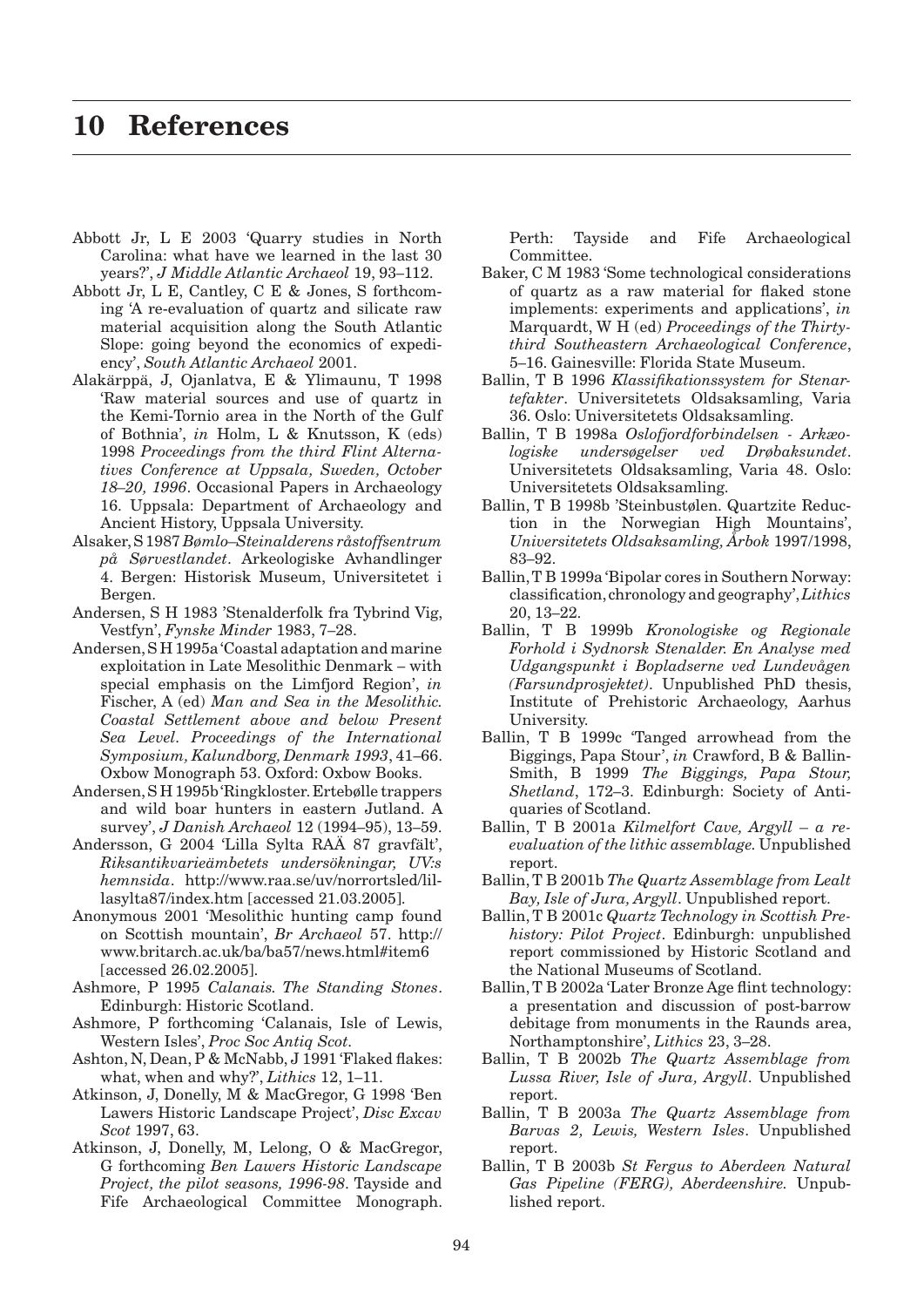## **10 References**

- Abbott Jr, L E 2003 'Quarry studies in North Carolina: what have we learned in the last 30 years?', *J Middle Atlantic Archaeol* 19, 93–112.
- Abbott Jr, L E, Cantley, C E & Jones, S forthcoming 'A re-evaluation of quartz and silicate raw material acquisition along the South Atlantic Slope: going beyond the economics of expediency', *South Atlantic Archaeol* 2001.
- Alakärppä, J, Ojanlatva, E & Ylimaunu, T 1998 'Raw material sources and use of quartz in the Kemi-Tornio area in the North of the Gulf of Bothnia', *in* Holm, L & Knutsson, K (eds) 1998 *Proceedings from the third Flint Alternatives Conference at Uppsala, Sweden, October 18–20, 1996*. Occasional Papers in Archaeology 16. Uppsala: Department of Archaeology and Ancient History, Uppsala University.
- Alsaker, S 1987 *Bømlo–Steinalderens råstoffsentrum på Sørvestlandet*. Arkeologiske Avhandlinger 4. Bergen: Historisk Museum, Universitetet i Bergen.
- Andersen, S H 1983 'Stenalderfolk fra Tybrind Vig, Vestfyn', *Fynske Minder* 1983, 7–28.
- Andersen, S H 1995a 'Coastal adaptation and marine exploitation in Late Mesolithic Denmark – with special emphasis on the Limfjord Region', *in* Fischer, A (ed) *Man and Sea in the Mesolithic. Coastal Settlement above and below Present Sea Level. Proceedings of the International Symposium, Kalundborg, Denmark 1993*, 41–66. Oxbow Monograph 53. Oxford: Oxbow Books.
- Andersen, S H 1995b 'Ringkloster. Ertebølle trappers and wild boar hunters in eastern Jutland. A survey', *J Danish Archaeol* 12 (1994–95), 13–59.
- Andersson, G 2004 'Lilla Sylta RAÄ 87 gravfält', *Riksantikvarieämbetets undersökningar, UV:s hemnsida*. http://www.raa.se/uv/norrortsled/lillasylta87/index.htm [accessed 21.03.2005].
- Anonymous 2001 'Mesolithic hunting camp found on Scottish mountain', *Br Archaeol* 57. http:// www.britarch.ac.uk/ba/ba57/news.html#item6 [accessed 26.02.2005].
- Ashmore, P 1995 *Calanais. The Standing Stones*. Edinburgh: Historic Scotland.
- Ashmore, P forthcoming 'Calanais, Isle of Lewis, Western Isles', *Proc Soc Antiq Scot.*
- Ashton, N, Dean, P & McNabb, J 1991 'Flaked flakes: what, when and why?', *Lithics* 12, 1–11.
- Atkinson, J, Donelly, M & MacGregor, G 1998 'Ben Lawers Historic Landscape Project', *Disc Excav Scot* 1997, 63.
- Atkinson, J, Donelly, M, Lelong, O & MacGregor, G forthcoming *Ben Lawers Historic Landscape Project, the pilot seasons, 1996-98*. Tayside and Fife Archaeological Committee Monograph.

Perth: Tayside and Fife Archaeological Committee.

- Baker, C M 1983 'Some technological considerations of quartz as a raw material for flaked stone implements: experiments and applications', *in* Marquardt, W H (ed) *Proceedings of the Thirtythird Southeastern Archaeological Conference*, 5–16. Gainesville: Florida State Museum.
- Ballin, T B 1996 *Klassifikationssystem for Stenartefakter*. Universitetets Oldsaksamling, Varia 36. Oslo: Universitetets Oldsaksamling.
- Ballin, T B 1998a *Oslofjordforbindelsen - Arkæologiske undersøgelser ved Drøbaksundet*. Universitetets Oldsaksamling, Varia 48. Oslo: Universitetets Oldsaksamling.
- Ballin, T B 1998b 'Steinbustølen. Quartzite Reduction in the Norwegian High Mountains', *Universitetets Oldsaksamling, Årbok* 1997/1998, 83–92.
- Ballin, T B 1999a 'Bipolar cores in Southern Norway: classification, chronology and geography', *Lithics*  20, 13–22.
- Ballin, T B 1999b *Kronologiske og Regionale Forhold i Sydnorsk Stenalder. En Analyse med Udgangspunkt i Bopladserne ved Lundevågen (Farsundprosjektet)*. Unpublished PhD thesis, Institute of Prehistoric Archaeology, Aarhus University.
- Ballin, T B 1999c 'Tanged arrowhead from the Biggings, Papa Stour', *in* Crawford, B & Ballin-Smith, B 1999 *The Biggings, Papa Stour, Shetland*, 172–3. Edinburgh: Society of Antiquaries of Scotland.
- Ballin, T B 2001a *Kilmelfort Cave, Argyll a reevaluation of the lithic assemblage.* Unpublished report.
- Ballin, T B 2001b *The Quartz Assemblage from Lealt Bay, Isle of Jura, Argyll*. Unpublished report.
- Ballin, T B 2001c *Quartz Technology in Scottish Prehistory: Pilot Project*. Edinburgh: unpublished report commissioned by Historic Scotland and the National Museums of Scotland.
- Ballin, T B 2002a 'Later Bronze Age flint technology: a presentation and discussion of post-barrow debitage from monuments in the Raunds area, Northamptonshire', *Lithics* 23, 3–28.
- Ballin, T B 2002b *The Quartz Assemblage from Lussa River, Isle of Jura, Argyll*. Unpublished report.
- Ballin, T B 2003a *The Quartz Assemblage from Barvas 2, Lewis, Western Isles*. Unpublished report.
- Ballin, T B 2003b *St Fergus to Aberdeen Natural Gas Pipeline (FERG), Aberdeenshire.* Unpublished report.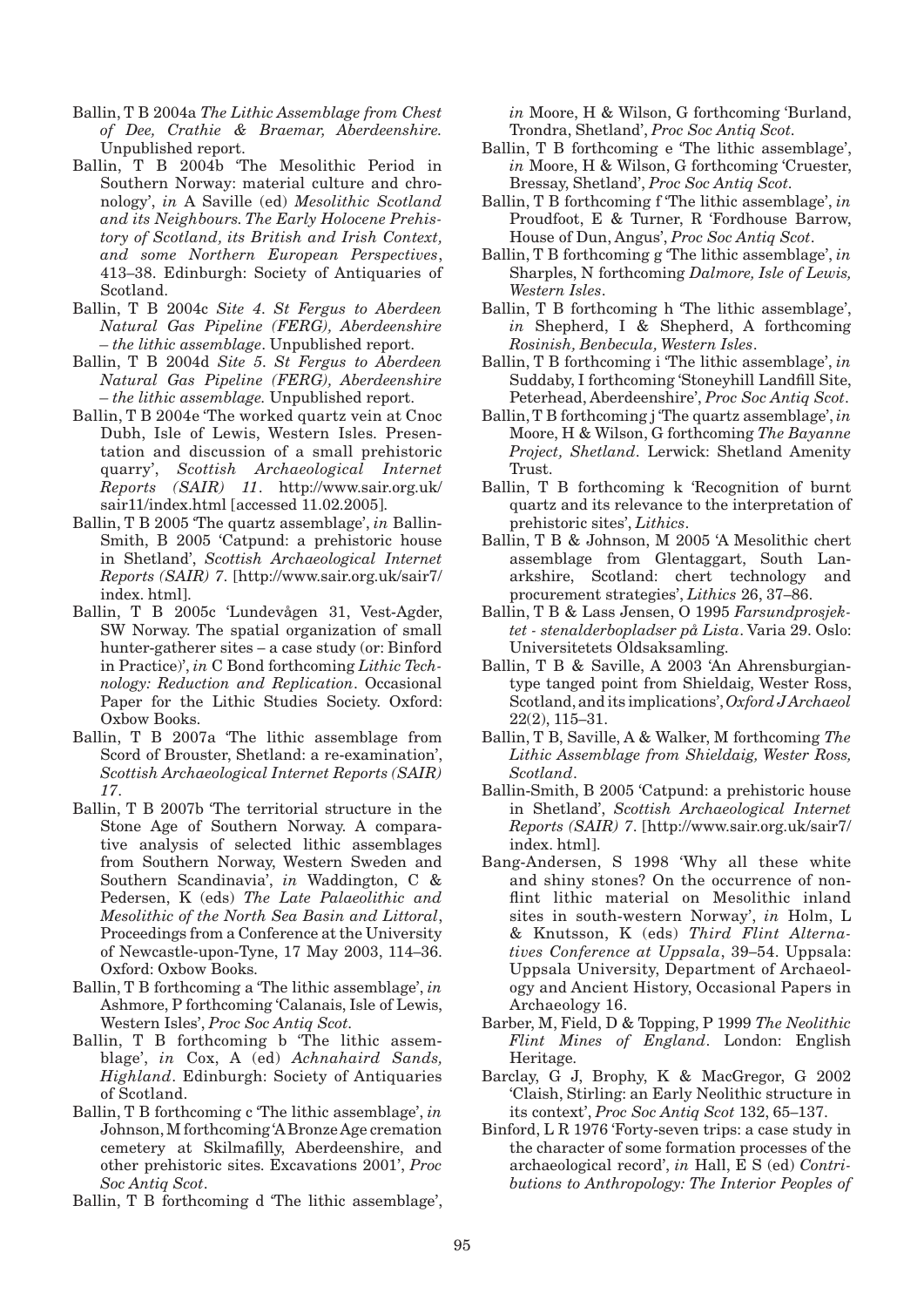- Ballin, T B 2004a *The Lithic Assemblage from Chest of Dee, Crathie & Braemar, Aberdeenshire.* Unpublished report.
- Ballin, T B 2004b 'The Mesolithic Period in Southern Norway: material culture and chronology', *in* A Saville (ed) *Mesolithic Scotland and its Neighbours. The Early Holocene Prehistory of Scotland, its British and Irish Context, and some Northern European Perspectives*, 413–38. Edinburgh: Society of Antiquaries of Scotland.
- Ballin, T B 2004c *Site 4. St Fergus to Aberdeen Natural Gas Pipeline (FERG), Aberdeenshire – the lithic assemblage*. Unpublished report.
- Ballin, T B 2004d *Site 5. St Fergus to Aberdeen Natural Gas Pipeline (FERG), Aberdeenshire – the lithic assemblage.* Unpublished report.
- Ballin, T B 2004e 'The worked quartz vein at Cnoc Dubh, Isle of Lewis, Western Isles. Presentation and discussion of a small prehistoric quarry', *Scottish Archaeological Internet Reports (SAIR) 11*. http://www.sair.org.uk/ sair11/index.html [accessed 11.02.2005].
- Ballin, T B 2005 'The quartz assemblage', *in* Ballin-Smith, B 2005 'Catpund: a prehistoric house in Shetland', *Scottish Archaeological Internet Reports (SAIR) 7*. [http://www.sair.org.uk/sair7/ index. html].
- Ballin, T B 2005c 'Lundevågen 31, Vest-Agder, SW Norway. The spatial organization of small hunter-gatherer sites – a case study (or: Binford in Practice)', *in* C Bond forthcoming *Lithic Technology: Reduction and Replication*. Occasional Paper for the Lithic Studies Society. Oxford: Oxbow Books.
- Ballin, T B 2007a 'The lithic assemblage from Scord of Brouster, Shetland: a re-examination', *Scottish Archaeological Internet Reports (SAIR) 17*.
- Ballin, T B 2007b 'The territorial structure in the Stone Age of Southern Norway. A comparative analysis of selected lithic assemblages from Southern Norway, Western Sweden and Southern Scandinavia', *in* Waddington, C & Pedersen, K (eds) *The Late Palaeolithic and Mesolithic of the North Sea Basin and Littoral*, Proceedings from a Conference at the University of Newcastle-upon-Tyne, 17 May 2003, 114–36. Oxford: Oxbow Books.
- Ballin, T B forthcoming a 'The lithic assemblage', *in* Ashmore, P forthcoming 'Calanais, Isle of Lewis, Western Isles', *Proc Soc Antiq Scot.*
- Ballin, T B forthcoming b 'The lithic assemblage', *in* Cox, A (ed) *Achnahaird Sands, Highland*. Edinburgh: Society of Antiquaries of Scotland.
- Ballin, T B forthcoming c 'The lithic assemblage', *in* Johnson, M forthcoming 'A Bronze Age cremation cemetery at Skilmafilly, Aberdeenshire, and other prehistoric sites. Excavations 2001', *Proc Soc Antiq Scot*.
- Ballin, T B forthcoming d 'The lithic assemblage',

*in* Moore, H & Wilson, G forthcoming 'Burland, Trondra, Shetland', *Proc Soc Antiq Scot.*

- Ballin, T B forthcoming e 'The lithic assemblage', *in* Moore, H & Wilson, G forthcoming 'Cruester, Bressay, Shetland', *Proc Soc Antiq Scot.*
- Ballin, T B forthcoming f 'The lithic assemblage', *in* Proudfoot, E & Turner, R 'Fordhouse Barrow, House of Dun, Angus', *Proc Soc Antiq Scot*.
- Ballin, T B forthcoming g 'The lithic assemblage', *in* Sharples, N forthcoming *Dalmore, Isle of Lewis, Western Isles*.
- Ballin, T B forthcoming h 'The lithic assemblage', *in* Shepherd, I & Shepherd, A forthcoming *Rosinish, Benbecula, Western Isles*.
- Ballin, T B forthcoming i 'The lithic assemblage', *in* Suddaby, I forthcoming 'Stoneyhill Landfill Site, Peterhead, Aberdeenshire', *Proc Soc Antiq Scot*.
- Ballin, T B forthcoming j 'The quartz assemblage', *in* Moore, H & Wilson, G forthcoming *The Bayanne Project, Shetland*. Lerwick: Shetland Amenity Trust.
- Ballin, T B forthcoming k 'Recognition of burnt quartz and its relevance to the interpretation of prehistoric sites', *Lithics*.
- Ballin, T B & Johnson, M 2005 'A Mesolithic chert assemblage from Glentaggart, South Lanarkshire, Scotland: chert technology and procurement strategies', *Lithics* 26, 37–86.
- Ballin, T B & Lass Jensen, O 1995 *Farsundprosjektet - stenalderbopladser på Lista*. Varia 29. Oslo: Universitetets Oldsaksamling.
- Ballin, T B & Saville, A 2003 'An Ahrensburgiantype tanged point from Shieldaig, Wester Ross, Scotland, and its implications', *Oxford J Archaeol* 22(2), 115–31.
- Ballin, T B, Saville, A & Walker, M forthcoming *The Lithic Assemblage from Shieldaig, Wester Ross, Scotland*.
- Ballin-Smith, B 2005 'Catpund: a prehistoric house in Shetland', *Scottish Archaeological Internet Reports (SAIR) 7*. [http://www.sair.org.uk/sair7/ index. html].
- Bang-Andersen, S 1998 'Why all these white and shiny stones? On the occurrence of nonflint lithic material on Mesolithic inland sites in south-western Norway', *in* Holm, L & Knutsson, K (eds) *Third Flint Alternatives Conference at Uppsala*, 39–54. Uppsala: Uppsala University, Department of Archaeology and Ancient History, Occasional Papers in Archaeology 16.
- Barber, M, Field, D & Topping, P 1999 *The Neolithic Flint Mines of England*. London: English Heritage.
- Barclay, G J, Brophy, K & MacGregor, G 2002 'Claish, Stirling: an Early Neolithic structure in its context', *Proc Soc Antiq Scot* 132, 65–137.
- Binford, L R 1976 'Forty-seven trips: a case study in the character of some formation processes of the archaeological record', *in* Hall, E S (ed) *Contributions to Anthropology: The Interior Peoples of*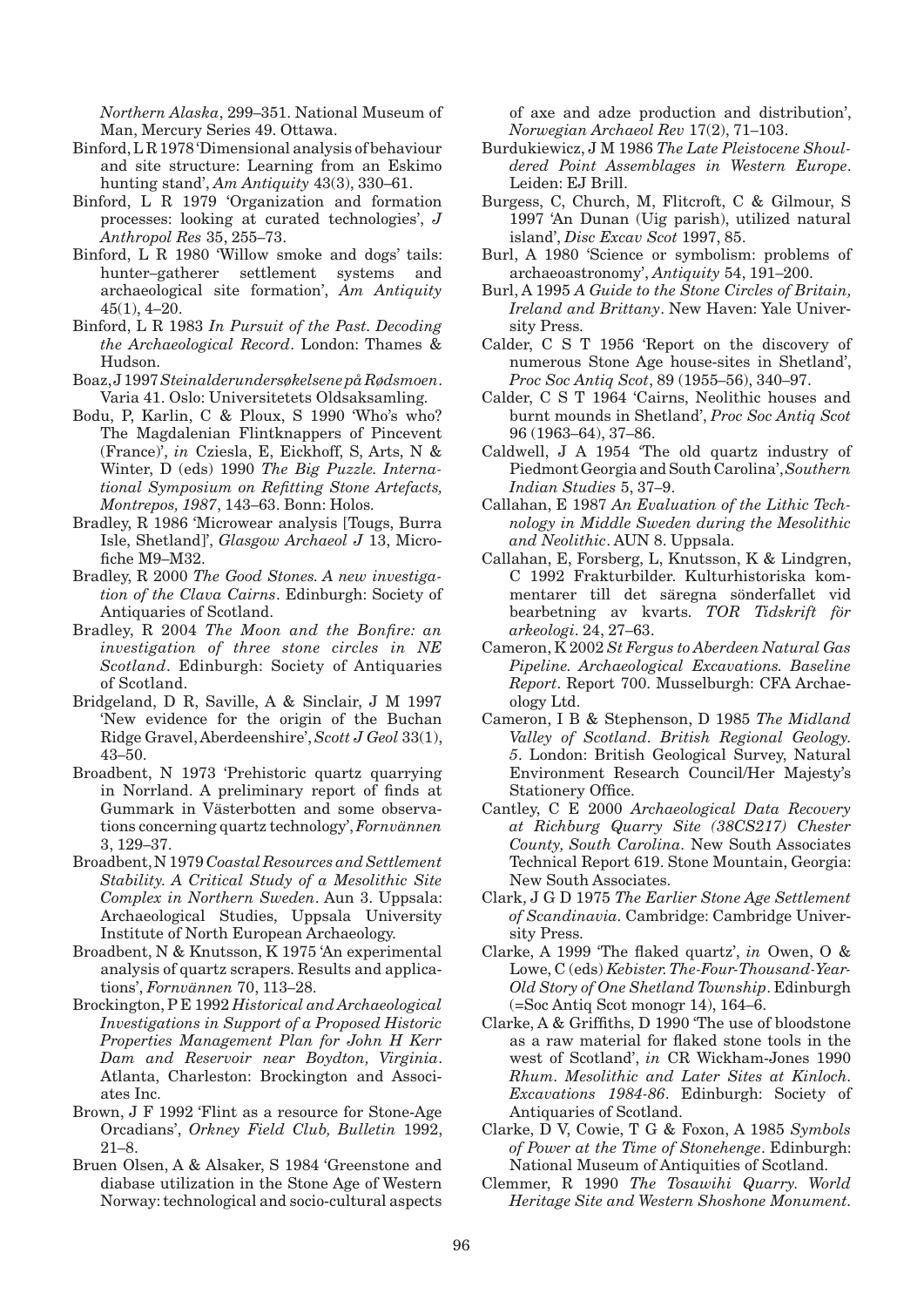*Northern Alaska*, 299–351. National Museum of Man, Mercury Series 49. Ottawa.

- Binford, L R 1978 'Dimensional analysis of behaviour and site structure: Learning from an Eskimo hunting stand', *Am Antiquity* 43(3), 330–61.
- Binford, L R 1979 'Organization and formation processes: looking at curated technologies', *J Anthropol Res* 35, 255–73.
- Binford, L R 1980 'Willow smoke and dogs' tails: hunter–gatherer settlement systems and archaeological site formation', *Am Antiquity* 45(1), 4–20.
- Binford, L R 1983 *In Pursuit of the Past. Decoding the Archaeological Record*. London: Thames & Hudson.
- Boaz, J 1997 *Steinalderundersøkelsene på Rødsmoen*. Varia 41. Oslo: Universitetets Oldsaksamling.
- Bodu, P, Karlin, C & Ploux, S 1990 'Who's who? The Magdalenian Flintknappers of Pincevent (France)', *in* Cziesla, E, Eickhoff, S, Arts, N & Winter, D (eds) 1990 *The Big Puzzle. International Symposium on Refitting Stone Artefacts, Montrepos, 1987*, 143–63. Bonn: Holos.
- Bradley, R 1986 'Microwear analysis [Tougs, Burra Isle, Shetland]', *Glasgow Archaeol J* 13, Microfiche M9–M32.
- Bradley, R 2000 *The Good Stones. A new investigation of the Clava Cairns*. Edinburgh: Society of Antiquaries of Scotland.
- Bradley, R 2004 *The Moon and the Bonfire: an investigation of three stone circles in NE Scotland*. Edinburgh: Society of Antiquaries of Scotland.
- Bridgeland, D R, Saville, A & Sinclair, J M 1997 'New evidence for the origin of the Buchan Ridge Gravel, Aberdeenshire', *Scott J Geol* 33(1), 43–50.
- Broadbent, N 1973 'Prehistoric quartz quarrying in Norrland. A preliminary report of finds at Gummark in Västerbotten and some observations concerning quartz technology', *Fornvännen* 3, 129–37.
- Broadbent, N 1979 *Coastal Resources and Settlement Stability. A Critical Study of a Mesolithic Site Complex in Northern Sweden*. Aun 3. Uppsala: Archaeological Studies, Uppsala University Institute of North European Archaeology.
- Broadbent, N & Knutsson, K 1975 'An experimental analysis of quartz scrapers. Results and applications', *Fornvännen* 70, 113–28.
- Brockington, P E 1992 *Historical and Archaeological Investigations in Support of a Proposed Historic Properties Management Plan for John H Kerr Dam and Reservoir near Boydton, Virginia*. Atlanta, Charleston: Brockington and Associates Inc.
- Brown, J F 1992 'Flint as a resource for Stone-Age Orcadians', *Orkney Field Club, Bulletin* 1992, 21–8.
- Bruen Olsen, A & Alsaker, S 1984 'Greenstone and diabase utilization in the Stone Age of Western Norway: technological and socio-cultural aspects

of axe and adze production and distribution', *Norwegian Archaeol Rev* 17(2), 71–103.

- Burdukiewicz, J M 1986 *The Late Pleistocene Shouldered Point Assemblages in Western Europe*. Leiden: EJ Brill.
- Burgess, C, Church, M, Flitcroft, C & Gilmour, S 1997 'An Dunan (Uig parish), utilized natural island', *Disc Excav Scot* 1997, 85.
- Burl, A 1980 'Science or symbolism: problems of archaeoastronomy', *Antiquity* 54, 191–200.
- Burl, A 1995 *A Guide to the Stone Circles of Britain, Ireland and Brittany*. New Haven: Yale University Press.
- Calder, C S T 1956 'Report on the discovery of numerous Stone Age house-sites in Shetland', *Proc Soc Antiq Scot*, 89 (1955–56), 340–97.
- Calder, C S T 1964 'Cairns, Neolithic houses and burnt mounds in Shetland', *Proc Soc Antiq Scot* 96 (1963–64), 37–86.
- Caldwell, J A 1954 'The old quartz industry of Piedmont Georgia and South Carolina', *Southern Indian Studies* 5, 37–9.
- Callahan, E 1987 *An Evaluation of the Lithic Technology in Middle Sweden during the Mesolithic and Neolithic*. AUN 8. Uppsala.
- Callahan, E, Forsberg, L, Knutsson, K & Lindgren, C 1992 Frakturbilder. Kulturhistoriska kommentarer till det säregna sönderfallet vid bearbetning av kvarts. *TOR Tidskrift för arkeologi*. 24, 27–63.
- Cameron, K 2002 *St Fergus to Aberdeen Natural Gas Pipeline. Archaeological Excavations. Baseline Report*. Report 700. Musselburgh: CFA Archaeology Ltd.
- Cameron, I B & Stephenson, D 1985 *The Midland Valley of Scotland. British Regional Geology. 5*. London: British Geological Survey, Natural Environment Research Council/Her Majesty's Stationery Office.
- Cantley, C E 2000 *Archaeological Data Recovery at Richburg Quarry Site (38CS217) Chester County, South Carolina.* New South Associates Technical Report 619. Stone Mountain, Georgia: New South Associates.
- Clark, J G D 1975 *The Earlier Stone Age Settlement of Scandinavia.* Cambridge: Cambridge University Press.
- Clarke, A 1999 'The flaked quartz', *in* Owen, O & Lowe, C (eds) *Kebister. The-Four-Thousand-Year-Old Story of One Shetland Township*. Edinburgh (=Soc Antiq Scot monogr 14), 164–6.
- Clarke, A & Griffiths, D 1990 'The use of bloodstone as a raw material for flaked stone tools in the west of Scotland', *in* CR Wickham-Jones 1990 *Rhum. Mesolithic and Later Sites at Kinloch. Excavations 1984-86*. Edinburgh: Society of Antiquaries of Scotland.
- Clarke, D V, Cowie, T G & Foxon, A 1985 *Symbols of Power at the Time of Stonehenge*. Edinburgh: National Museum of Antiquities of Scotland.
- Clemmer, R 1990 *The Tosawihi Quarry. World Heritage Site and Western Shoshone Monument.*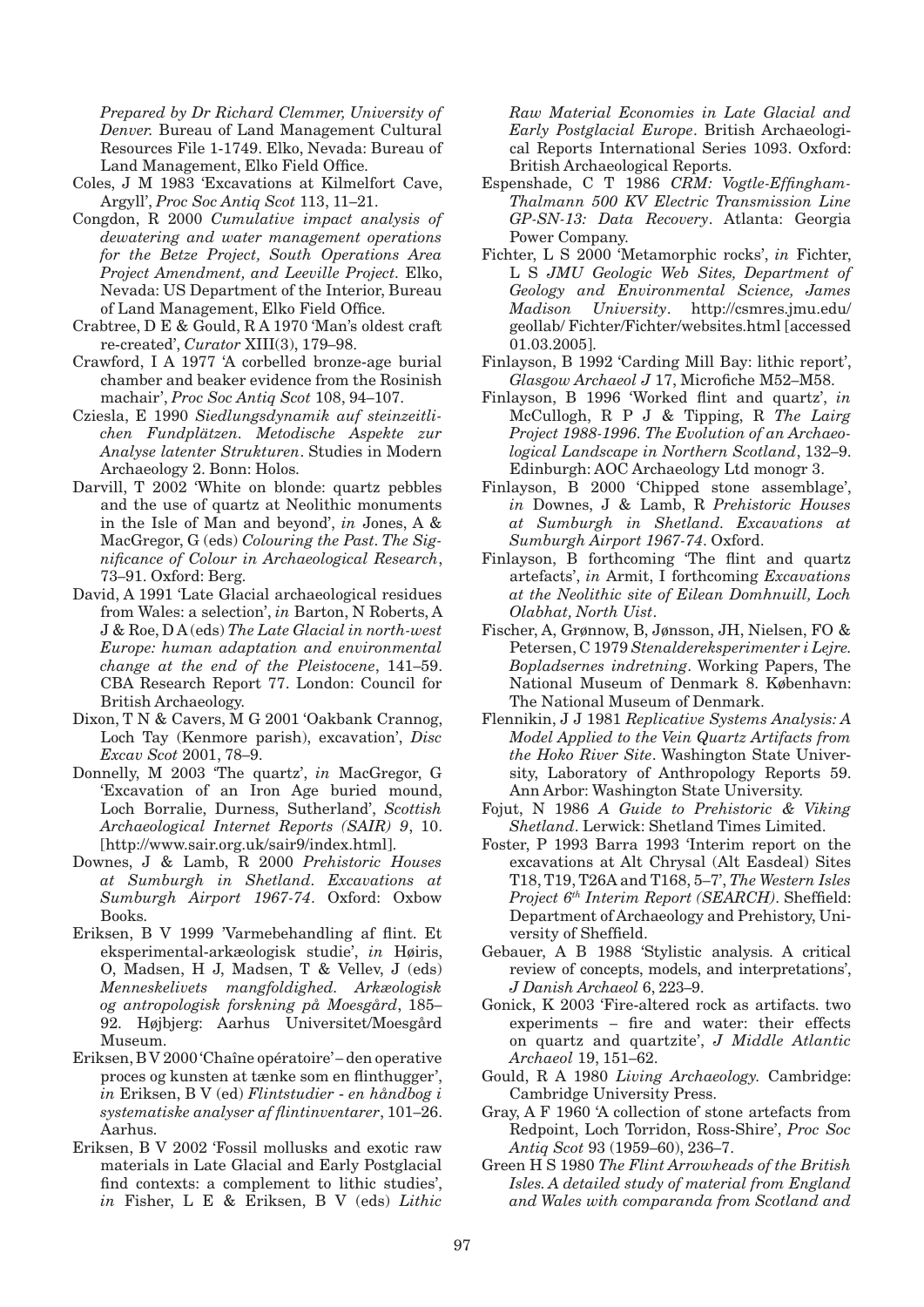*Prepared by Dr Richard Clemmer, University of Denver.* Bureau of Land Management Cultural Resources File 1-1749. Elko, Nevada: Bureau of Land Management, Elko Field Office.

- Coles, J M 1983 'Excavations at Kilmelfort Cave, Argyll', *Proc Soc Antiq Scot* 113, 11–21.
- Congdon, R 2000 *Cumulative impact analysis of dewatering and water management operations for the Betze Project, South Operations Area Project Amendment, and Leeville Project.* Elko, Nevada: US Department of the Interior, Bureau of Land Management, Elko Field Office.
- Crabtree, D E & Gould, R A 1970 'Man's oldest craft re-created', *Curator* XIII(3), 179–98.
- Crawford, I A 1977 'A corbelled bronze-age burial chamber and beaker evidence from the Rosinish machair', *Proc Soc Antiq Scot* 108, 94–107.
- Cziesla, E 1990 *Siedlungsdynamik auf steinzeitlichen Fundplätzen. Metodische Aspekte zur Analyse latenter Strukturen*. Studies in Modern Archaeology 2. Bonn: Holos.
- Darvill, T 2002 'White on blonde: quartz pebbles and the use of quartz at Neolithic monuments in the Isle of Man and beyond', *in* Jones, A & MacGregor, G (eds) *Colouring the Past. The Significance of Colour in Archaeological Research*, 73–91. Oxford: Berg.
- David, A 1991 'Late Glacial archaeological residues from Wales: a selection', *in* Barton, N Roberts, A J & Roe, D A (eds) *The Late Glacial in north-west Europe: human adaptation and environmental change at the end of the Pleistocene*, 141–59. CBA Research Report 77. London: Council for British Archaeology.
- Dixon, T N & Cavers, M G 2001 'Oakbank Crannog, Loch Tay (Kenmore parish), excavation', *Disc Excav Scot* 2001, 78–9.
- Donnelly, M 2003 'The quartz', *in* MacGregor, G 'Excavation of an Iron Age buried mound, Loch Borralie, Durness, Sutherland', *Scottish Archaeological Internet Reports (SAIR) 9*, 10. [http://www.sair.org.uk/sair9/index.html].
- Downes, J & Lamb, R 2000 *Prehistoric Houses at Sumburgh in Shetland. Excavations at Sumburgh Airport 1967-74*. Oxford: Oxbow Books.
- Eriksen, B V 1999 'Varmebehandling af flint. Et eksperimental-arkæologisk studie', *in* Høiris, O, Madsen, H J, Madsen, T & Vellev, J (eds) *Menneskelivets mangfoldighed. Arkæologisk og antropologisk forskning på Moesgård*, 185– 92. Højbjerg: Aarhus Universitet/Moesgård Museum.
- Eriksen, B V 2000 'Chaîne opératoire' den operative proces og kunsten at tænke som en flinthugger', *in* Eriksen, B V (ed) *Flintstudier* - *en håndbog i systematiske analyser af flintinventarer*, 101–26. Aarhus.
- Eriksen, B V 2002 'Fossil mollusks and exotic raw materials in Late Glacial and Early Postglacial find contexts: a complement to lithic studies', *in* Fisher, L E & Eriksen, B V (eds) *Lithic*

*Raw Material Economies in Late Glacial and Early Postglacial Europe*. British Archaeological Reports International Series 1093. Oxford: British Archaeological Reports.

- Espenshade, C T 1986 *CRM: Vogtle-Effingham-Thalmann 500 KV Electric Transmission Line GP-SN-13: Data Recovery*. Atlanta: Georgia Power Company.
- Fichter, L S 2000 'Metamorphic rocks', *in* Fichter, L S *JMU Geologic Web Sites, Department of Geology and Environmental Science, James Madison University*. http://csmres.jmu.edu/ geollab/ Fichter/Fichter/websites.html [accessed 01.03.2005].
- Finlayson, B 1992 'Carding Mill Bay: lithic report', *Glasgow Archaeol J* 17, Microfiche M52–M58.
- Finlayson, B 1996 'Worked flint and quartz', *in* McCullogh, R P J & Tipping, R *The Lairg Project 1988-1996. The Evolution of an Archaeological Landscape in Northern Scotland*, 132–9. Edinburgh: AOC Archaeology Ltd monogr 3.
- Finlayson, B 2000 'Chipped stone assemblage', *in* Downes, J & Lamb, R *Prehistoric Houses at Sumburgh in Shetland. Excavations at Sumburgh Airport 1967-74*. Oxford.
- Finlayson, B forthcoming 'The flint and quartz artefacts', *in* Armit, I forthcoming *Excavations at the Neolithic site of Eilean Domhnuill, Loch Olabhat, North Uist*.
- Fischer, A, Grønnow, B, Jønsson, JH, Nielsen, FO & Petersen, C 1979 *Stenaldereksperimenter i Lejre. Bopladsernes indretning*. Working Papers, The National Museum of Denmark 8. København: The National Museum of Denmark.
- Flennikin, J J 1981 *Replicative Systems Analysis: A Model Applied to the Vein Quartz Artifacts from the Hoko River Site*. Washington State University, Laboratory of Anthropology Reports 59. Ann Arbor: Washington State University.
- Fojut, N 1986 *A Guide to Prehistoric & Viking Shetland*. Lerwick: Shetland Times Limited.
- Foster, P 1993 Barra 1993 'Interim report on the excavations at Alt Chrysal (Alt Easdeal) Sites T18, T19, T26A and T168, 5–7', *The Western Isles Project 6th Interim Report (SEARCH)*. Sheffield: Department of Archaeology and Prehistory, University of Sheffield.
- Gebauer, A B 1988 'Stylistic analysis. A critical review of concepts, models, and interpretations', *J Danish Archaeol* 6, 223–9.
- Gonick, K 2003 'Fire-altered rock as artifacts. two experiments – fire and water: their effects on quartz and quartzite', *J Middle Atlantic Archaeol* 19, 151–62.
- Gould, R A 1980 *Living Archaeology.* Cambridge: Cambridge University Press.
- Gray, A F 1960 'A collection of stone artefacts from Redpoint, Loch Torridon, Ross-Shire', *Proc Soc Antiq Scot* 93 (1959–60), 236–7.
- Green H S 1980 *The Flint Arrowheads of the British Isles. A detailed study of material from England and Wales with comparanda from Scotland and*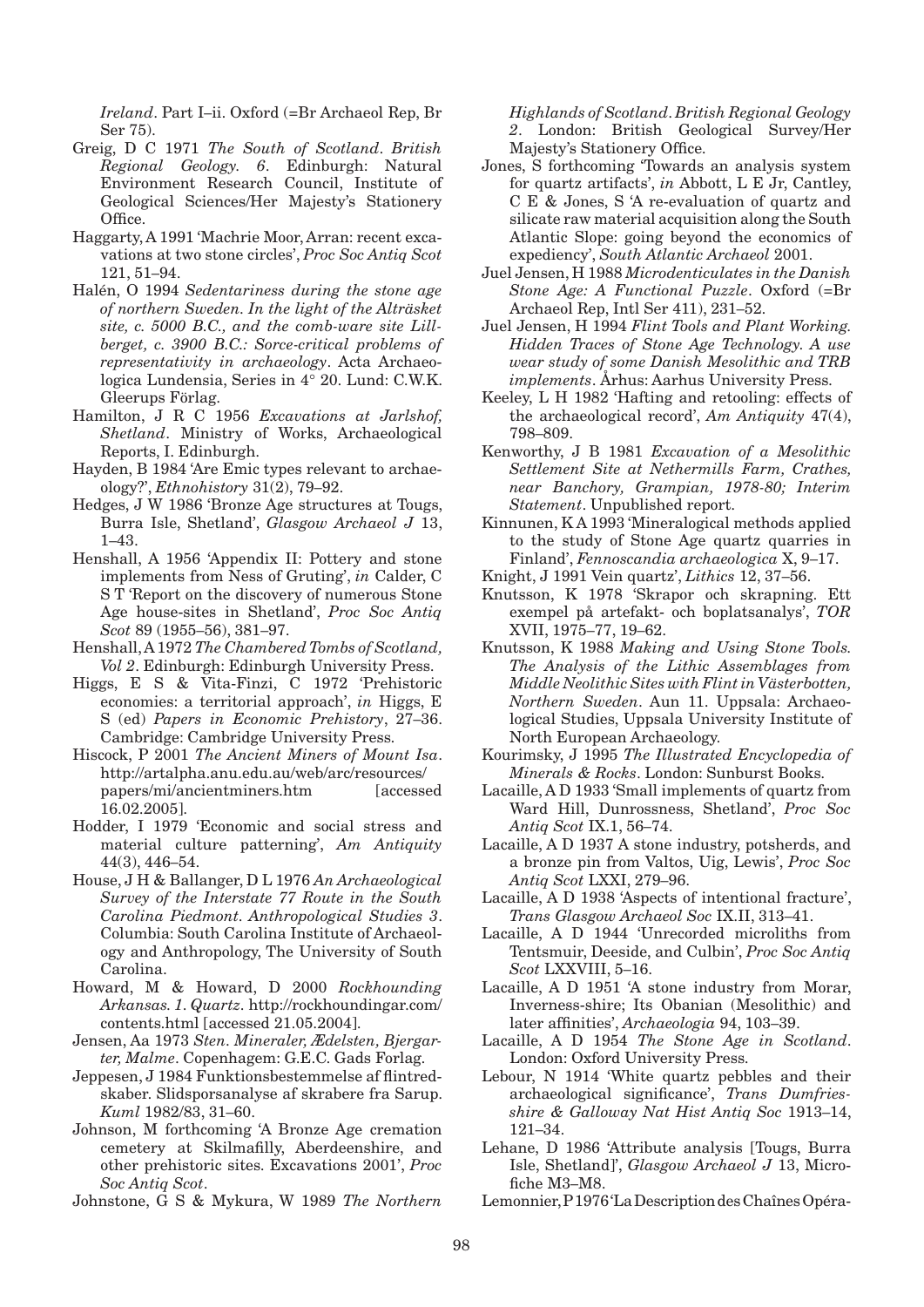*Ireland*. Part I–ii. Oxford (=Br Archaeol Rep, Br Ser 75).

- Greig, D C 1971 *The South of Scotland*. *British Regional Geology. 6*. Edinburgh: Natural Environment Research Council, Institute of Geological Sciences/Her Majesty's Stationery Office.
- Haggarty, A 1991 'Machrie Moor, Arran: recent excavations at two stone circles', *Proc Soc Antiq Scot* 121, 51–94.
- Halén, O 1994 *Sedentariness during the stone age of northern Sweden. In the light of the Alträsket site, c. 5000 B.C., and the comb-ware site Lillberget, c. 3900 B.C.: Sorce-critical problems of representativity in archaeology*. Acta Archaeologica Lundensia, Series in 4° 20. Lund: C.W.K. Gleerups Förlag.
- Hamilton, J R C 1956 *Excavations at Jarlshof, Shetland*. Ministry of Works, Archaeological Reports, I. Edinburgh.
- Hayden, B 1984 'Are Emic types relevant to archaeology?', *Ethnohistory* 31(2), 79–92.
- Hedges, J W 1986 'Bronze Age structures at Tougs, Burra Isle, Shetland', *Glasgow Archaeol J* 13, 1–43.
- Henshall, A 1956 'Appendix II: Pottery and stone implements from Ness of Gruting', *in* Calder, C S T 'Report on the discovery of numerous Stone Age house-sites in Shetland', *Proc Soc Antiq Scot* 89 (1955–56), 381–97.
- Henshall, A 1972 *The Chambered Tombs of Scotland, Vol 2*. Edinburgh: Edinburgh University Press.
- Higgs, E S & Vita-Finzi, C 1972 'Prehistoric economies: a territorial approach', *in* Higgs, E S (ed) *Papers in Economic Prehistory*, 27–36. Cambridge: Cambridge University Press.
- Hiscock, P 2001 *The Ancient Miners of Mount Isa*. http://artalpha.anu.edu.au/web/arc/resources/ papers/mi/ancientminers.htm [accessed 16.02.2005].
- Hodder, I 1979 'Economic and social stress and material culture patterning', *Am Antiquity* 44(3), 446–54.
- House, J H & Ballanger, D L 1976 *An Archaeological Survey of the Interstate 77 Route in the South Carolina Piedmont. Anthropological Studies 3*. Columbia: South Carolina Institute of Archaeology and Anthropology, The University of South Carolina.
- Howard, M & Howard, D 2000 *Rockhounding Arkansas. 1. Quartz.* http://rockhoundingar.com/ contents.html [accessed 21.05.2004].
- Jensen, Aa 1973 *Sten. Mineraler, Ædelsten, Bjergarter, Malme*. Copenhagem: G.E.C. Gads Forlag.
- Jeppesen, J 1984 Funktionsbestemmelse af flintredskaber. Slidsporsanalyse af skrabere fra Sarup. *Kuml* 1982/83, 31–60.
- Johnson, M forthcoming 'A Bronze Age cremation cemetery at Skilmafilly, Aberdeenshire, and other prehistoric sites. Excavations 2001', *Proc Soc Antiq Scot*.
- Johnstone, G S & Mykura, W 1989 *The Northern*

*Highlands of Scotland*. *British Regional Geology 2*. London: British Geological Survey/Her Majesty's Stationery Office.

- Jones, S forthcoming 'Towards an analysis system for quartz artifacts', *in* Abbott, L E Jr, Cantley, C E & Jones, S 'A re-evaluation of quartz and silicate raw material acquisition along the South Atlantic Slope: going beyond the economics of expediency', *South Atlantic Archaeol* 2001.
- Juel Jensen, H 1988 *Microdenticulates in the Danish Stone Age: A Functional Puzzle*. Oxford (=Br Archaeol Rep, Intl Ser 411), 231–52.
- Juel Jensen, H 1994 *Flint Tools and Plant Working. Hidden Traces of Stone Age Technology. A use wear study of some Danish Mesolithic and TRB implements*. Århus: Aarhus University Press.
- Keeley, L H 1982 'Hafting and retooling: effects of the archaeological record', *Am Antiquity* 47(4), 798–809.
- Kenworthy, J B 1981 *Excavation of a Mesolithic Settlement Site at Nethermills Farm, Crathes, near Banchory, Grampian, 1978-80; Interim Statement*. Unpublished report.
- Kinnunen, K A 1993 'Mineralogical methods applied to the study of Stone Age quartz quarries in Finland', *Fennoscandia archaeologica* X, 9–17.
- Knight, J 1991 Vein quartz', *Lithics* 12, 37–56.
- Knutsson, K 1978 'Skrapor och skrapning. Ett exempel på artefakt- och boplatsanalys', *TOR* XVII, 1975–77, 19–62.
- Knutsson, K 1988 *Making and Using Stone Tools. The Analysis of the Lithic Assemblages from Middle Neolithic Sites with Flint in Västerbotten, Northern Sweden*. Aun 11. Uppsala: Archaeological Studies, Uppsala University Institute of North European Archaeology.
- Kourimsky, J 1995 *The Illustrated Encyclopedia of Minerals & Rocks*. London: Sunburst Books.
- Lacaille, A D 1933 'Small implements of quartz from Ward Hill, Dunrossness, Shetland', *Proc Soc Antiq Scot* IX.1, 56–74.
- Lacaille, A D 1937 A stone industry, potsherds, and a bronze pin from Valtos, Uig, Lewis', *Proc Soc Antiq Scot* LXXI, 279–96.
- Lacaille, A D 1938 'Aspects of intentional fracture', *Trans Glasgow Archaeol Soc* IX.II, 313–41.
- Lacaille, A D 1944 'Unrecorded microliths from Tentsmuir, Deeside, and Culbin', *Proc Soc Antiq Scot* LXXVIII, 5–16.
- Lacaille, A D 1951 'A stone industry from Morar, Inverness-shire; Its Obanian (Mesolithic) and later affinities', *Archaeologia* 94, 103–39.
- Lacaille, A D 1954 *The Stone Age in Scotland*. London: Oxford University Press.
- Lebour, N 1914 'White quartz pebbles and their archaeological significance', *Trans Dumfriesshire & Galloway Nat Hist Antiq Soc* 1913–14, 121–34.
- Lehane, D 1986 'Attribute analysis [Tougs, Burra Isle, Shetland]', *Glasgow Archaeol J* 13, Microfiche M3–M8.
- Lemonnier, P 1976 'La Description des Chaînes Opéra-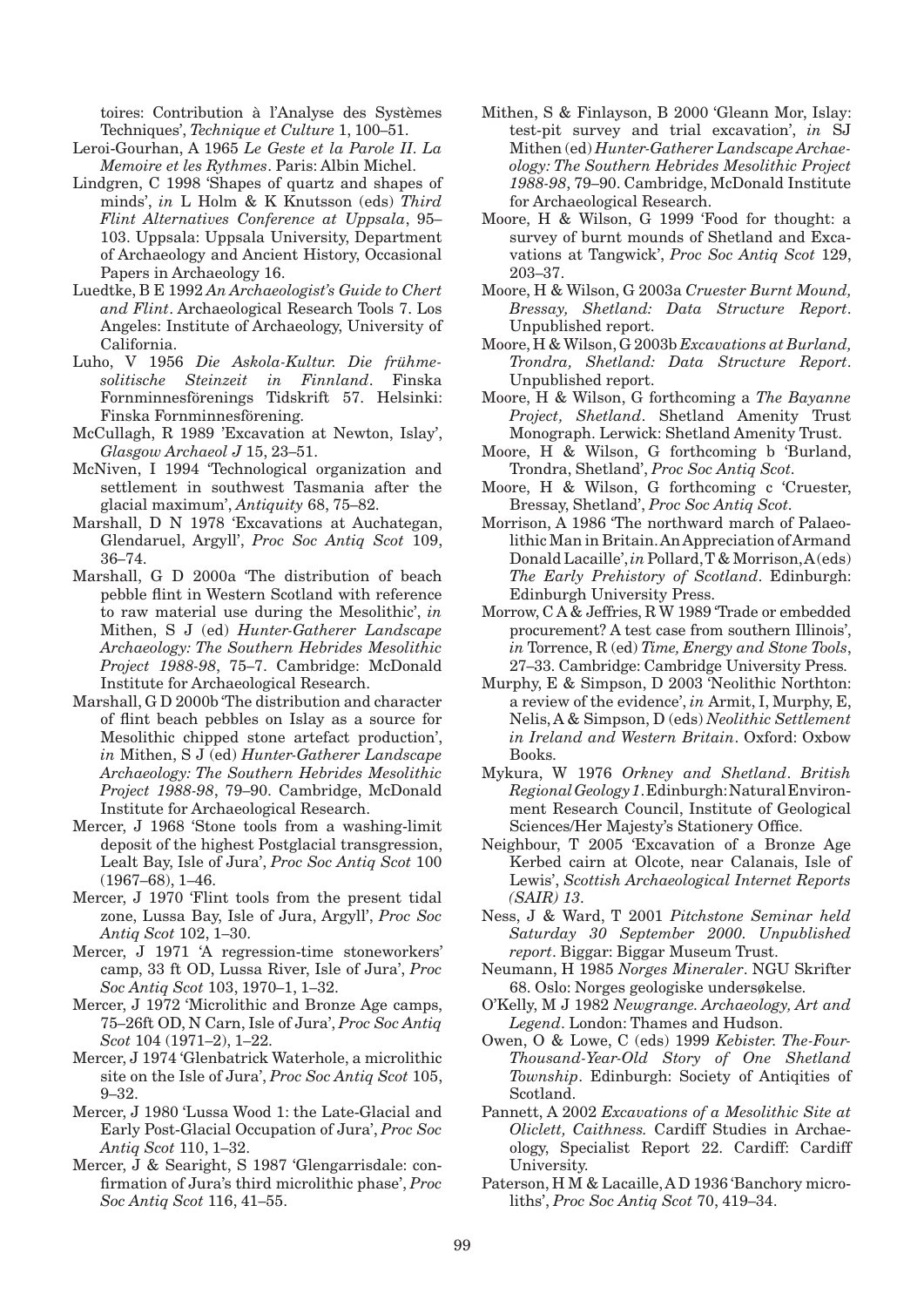toires: Contribution à l'Analyse des Systèmes Techniques', *Technique et Culture* 1, 100–51.

- Leroi-Gourhan, A 1965 *Le Geste et la Parole II. La Memoire et les Rythmes*. Paris: Albin Michel.
- Lindgren, C 1998 'Shapes of quartz and shapes of minds', *in* L Holm & K Knutsson (eds) *Third Flint Alternatives Conference at Uppsala*, 95– 103. Uppsala: Uppsala University, Department of Archaeology and Ancient History, Occasional Papers in Archaeology 16.
- Luedtke, B E 1992 *An Archaeologist's Guide to Chert and Flint*. Archaeological Research Tools 7. Los Angeles: Institute of Archaeology, University of California.
- Luho, V 1956 *Die Askola-Kultur. Die frühmesolitische Steinzeit in Finnland*. Finska Fornminnesförenings Tidskrift 57. Helsinki: Finska Fornminnesförening.
- McCullagh, R 1989 'Excavation at Newton, Islay', *Glasgow Archaeol J* 15, 23–51.
- McNiven, I 1994 'Technological organization and settlement in southwest Tasmania after the glacial maximum', *Antiquity* 68, 75–82.
- Marshall, D N 1978 'Excavations at Auchategan, Glendaruel, Argyll', *Proc Soc Antiq Scot* 109, 36–74.
- Marshall, G D 2000a 'The distribution of beach pebble flint in Western Scotland with reference to raw material use during the Mesolithic', *in* Mithen, S J (ed) *Hunter-Gatherer Landscape Archaeology: The Southern Hebrides Mesolithic Project 1988-98*, 75–7. Cambridge: McDonald Institute for Archaeological Research.
- Marshall, G D 2000b 'The distribution and character of flint beach pebbles on Islay as a source for Mesolithic chipped stone artefact production', *in* Mithen, S J (ed) *Hunter-Gatherer Landscape Archaeology: The Southern Hebrides Mesolithic Project 1988-98*, 79–90. Cambridge, McDonald Institute for Archaeological Research.
- Mercer, J 1968 'Stone tools from a washing-limit deposit of the highest Postglacial transgression, Lealt Bay, Isle of Jura', *Proc Soc Antiq Scot* 100 (1967–68), 1–46.
- Mercer, J 1970 'Flint tools from the present tidal zone, Lussa Bay, Isle of Jura, Argyll', *Proc Soc Antiq Scot* 102, 1–30.
- Mercer, J 1971 'A regression-time stoneworkers' camp, 33 ft OD, Lussa River, Isle of Jura', *Proc Soc Antiq Scot* 103, 1970–1, 1–32.
- Mercer, J 1972 'Microlithic and Bronze Age camps, 75–26ft OD, N Carn, Isle of Jura', *Proc Soc Antiq Scot* 104 (1971–2), 1–22.
- Mercer, J 1974 'Glenbatrick Waterhole, a microlithic site on the Isle of Jura', *Proc Soc Antiq Scot* 105, 9–32.
- Mercer, J 1980 'Lussa Wood 1: the Late-Glacial and Early Post-Glacial Occupation of Jura', *Proc Soc Antiq Scot* 110, 1–32.
- Mercer, J & Searight, S 1987 'Glengarrisdale: confirmation of Jura's third microlithic phase', *Proc Soc Antiq Scot* 116, 41–55.
- Mithen, S & Finlayson, B 2000 'Gleann Mor, Islay: test-pit survey and trial excavation', *in* SJ Mithen (ed) *Hunter-Gatherer Landscape Archaeology: The Southern Hebrides Mesolithic Project 1988-98*, 79–90. Cambridge, McDonald Institute for Archaeological Research.
- Moore, H & Wilson, G 1999 'Food for thought: a survey of burnt mounds of Shetland and Excavations at Tangwick', *Proc Soc Antiq Scot* 129, 203–37.
- Moore, H & Wilson, G 2003a *Cruester Burnt Mound, Bressay, Shetland: Data Structure Report*. Unpublished report.
- Moore, H & Wilson, G 2003b *Excavations at Burland, Trondra, Shetland: Data Structure Report*. Unpublished report.
- Moore, H & Wilson, G forthcoming a *The Bayanne Project, Shetland*. Shetland Amenity Trust Monograph. Lerwick: Shetland Amenity Trust.
- Moore, H & Wilson, G forthcoming b 'Burland, Trondra, Shetland', *Proc Soc Antiq Scot.*
- Moore, H & Wilson, G forthcoming c 'Cruester, Bressay, Shetland', *Proc Soc Antiq Scot.*
- Morrison, A 1986 'The northward march of Palaeolithic Man in Britain. An Appreciation of Armand Donald Lacaille', *in* Pollard, T & Morrison, A (eds) *The Early Prehistory of Scotland*. Edinburgh: Edinburgh University Press.
- Morrow, C A & Jeffries, R W 1989 'Trade or embedded procurement? A test case from southern Illinois', *in* Torrence, R (ed) *Time, Energy and Stone Tools*, 27–33. Cambridge: Cambridge University Press.
- Murphy, E & Simpson, D 2003 'Neolithic Northton: a review of the evidence', *in* Armit, I, Murphy, E, Nelis, A & Simpson, D (eds) *Neolithic Settlement in Ireland and Western Britain*. Oxford: Oxbow Books.
- Mykura, W 1976 *Orkney and Shetland*. *British Regional Geology 1*. Edinburgh: Natural Environment Research Council, Institute of Geological Sciences/Her Majesty's Stationery Office.
- Neighbour, T 2005 'Excavation of a Bronze Age Kerbed cairn at Olcote, near Calanais, Isle of Lewis', *Scottish Archaeological Internet Reports (SAIR) 13.*
- Ness, J & Ward, T 2001 *Pitchstone Seminar held Saturday 30 September 2000. Unpublished report*. Biggar: Biggar Museum Trust.
- Neumann, H 1985 *Norges Mineraler*. NGU Skrifter 68. Oslo: Norges geologiske undersøkelse.
- O'Kelly, M J 1982 *Newgrange. Archaeology, Art and Legend*. London: Thames and Hudson.
- Owen, O & Lowe, C (eds) 1999 *Kebister. The-Four-Thousand-Year-Old Story of One Shetland Township*. Edinburgh: Society of Antiqities of Scotland.
- Pannett, A 2002 *Excavations of a Mesolithic Site at Oliclett, Caithness.* Cardiff Studies in Archaeology, Specialist Report 22. Cardiff: Cardiff University.
- Paterson, H M & Lacaille, A D 1936 'Banchory microliths', *Proc Soc Antiq Scot* 70, 419–34.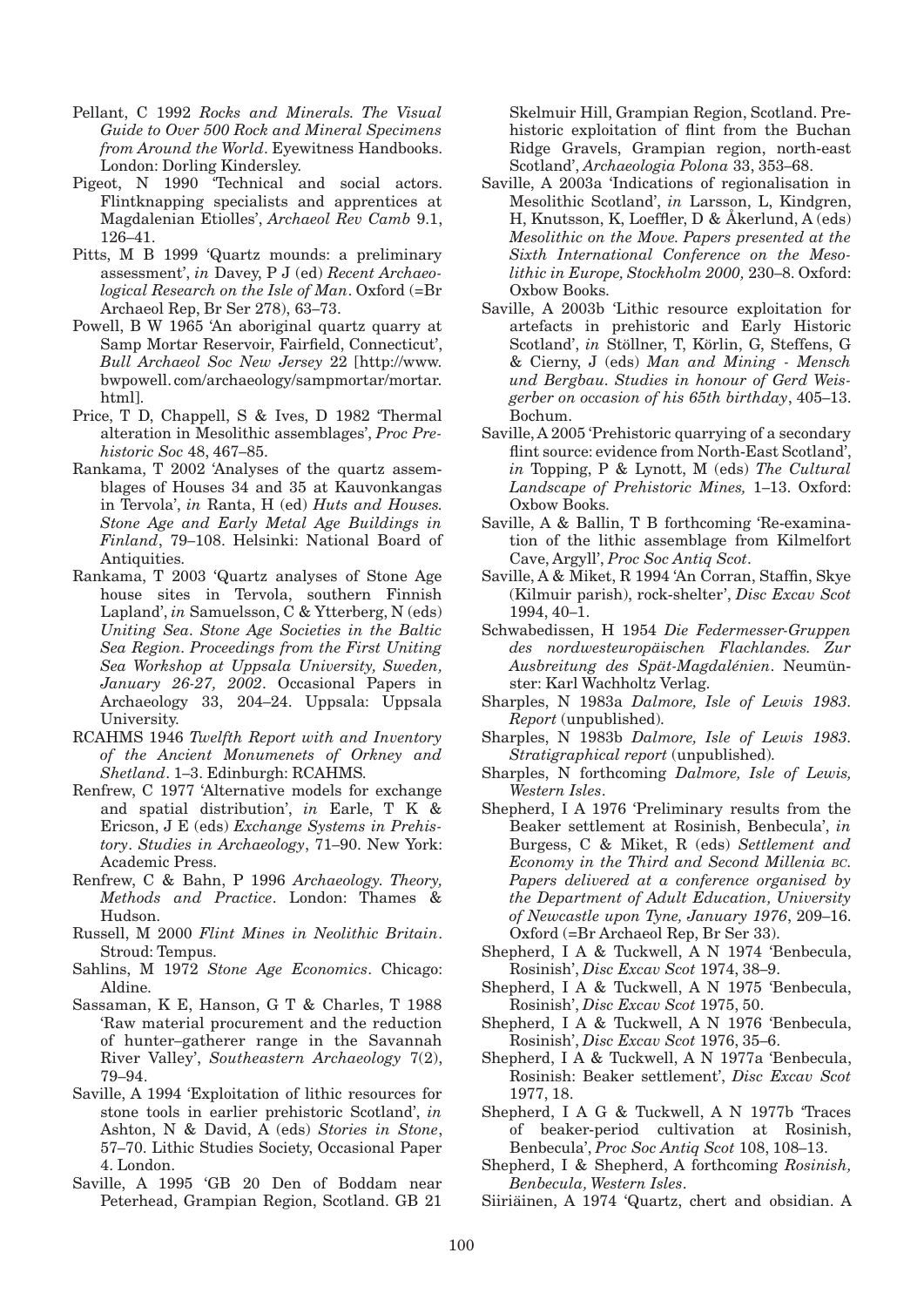- Pellant, C 1992 *Rocks and Minerals. The Visual Guide to Over 500 Rock and Mineral Specimens from Around the World*. Eyewitness Handbooks. London: Dorling Kindersley.
- Pigeot, N 1990 'Technical and social actors. Flintknapping specialists and apprentices at Magdalenian Etiolles', *Archaeol Rev Camb* 9.1, 126–41.
- Pitts, M B 1999 'Quartz mounds: a preliminary assessment', *in* Davey, P J (ed) *Recent Archaeological Research on the Isle of Man*. Oxford (=Br Archaeol Rep, Br Ser 278), 63–73.
- Powell, B W 1965 'An aboriginal quartz quarry at Samp Mortar Reservoir, Fairfield, Connecticut', *Bull Archaeol Soc New Jersey* 22 [http://www. bwpowell. com/archaeology/sampmortar/mortar. html].
- Price, T D, Chappell, S & Ives, D 1982 'Thermal alteration in Mesolithic assemblages', *Proc Prehistoric Soc* 48, 467–85.
- Rankama, T 2002 'Analyses of the quartz assemblages of Houses 34 and 35 at Kauvonkangas in Tervola', *in* Ranta, H (ed) *Huts and Houses. Stone Age and Early Metal Age Buildings in Finland*, 79–108. Helsinki: National Board of Antiquities.
- Rankama, T 2003 'Quartz analyses of Stone Age house sites in Tervola, southern Finnish Lapland', *in* Samuelsson, C & Ytterberg, N (eds) *Uniting Sea. Stone Age Societies in the Baltic Sea Region. Proceedings from the First Uniting Sea Workshop at Uppsala University, Sweden, January 26-27, 2002*. Occasional Papers in Archaeology 33, 204–24. Uppsala: Uppsala University.
- RCAHMS 1946 *Twelfth Report with and Inventory of the Ancient Monumenets of Orkney and Shetland*. 1–3. Edinburgh: RCAHMS.
- Renfrew, C 1977 'Alternative models for exchange and spatial distribution', *in* Earle, T K & Ericson, J E (eds) *Exchange Systems in Prehistory*. *Studies in Archaeology*, 71–90. New York: Academic Press.
- Renfrew, C & Bahn, P 1996 *Archaeology. Theory, Methods and Practice*. London: Thames & Hudson.
- Russell, M 2000 *Flint Mines in Neolithic Britain*. Stroud: Tempus.
- Sahlins, M 1972 *Stone Age Economics*. Chicago: Aldine.
- Sassaman, K E, Hanson, G T & Charles, T 1988 'Raw material procurement and the reduction of hunter–gatherer range in the Savannah River Valley', *Southeastern Archaeology* 7(2), 79–94.
- Saville, A 1994 'Exploitation of lithic resources for stone tools in earlier prehistoric Scotland', *in*  Ashton, N & David, A (eds) *Stories in Stone*, 57–70. Lithic Studies Society, Occasional Paper 4. London.
- Saville, A 1995 'GB 20 Den of Boddam near Peterhead, Grampian Region, Scotland. GB 21

Skelmuir Hill, Grampian Region, Scotland. Prehistoric exploitation of flint from the Buchan Ridge Gravels, Grampian region, north-east Scotland', *Archaeologia Polona* 33, 353–68.

- Saville, A 2003a 'Indications of regionalisation in Mesolithic Scotland', *in* Larsson, L, Kindgren, H, Knutsson, K, Loeffler, D & Åkerlund, A (eds) *Mesolithic on the Move. Papers presented at the Sixth International Conference on the Mesolithic in Europe, Stockholm 2000,* 230–8. Oxford: Oxbow Books.
- Saville, A 2003b 'Lithic resource exploitation for artefacts in prehistoric and Early Historic Scotland', *in* Stöllner, T, Körlin, G, Steffens, G & Cierny, J (eds) *Man and Mining - Mensch und Bergbau. Studies in honour of Gerd Weisgerber on occasion of his 65th birthday*, 405–13. Bochum.
- Saville, A 2005 'Prehistoric quarrying of a secondary flint source: evidence from North-East Scotland', *in* Topping, P & Lynott, M (eds) *The Cultural Landscape of Prehistoric Mines,* 1–13. Oxford: Oxbow Books.
- Saville, A & Ballin, T B forthcoming 'Re-examination of the lithic assemblage from Kilmelfort Cave, Argyll', *Proc Soc Antiq Scot*.
- Saville, A & Miket, R 1994 'An Corran, Staffin, Skye (Kilmuir parish), rock-shelter', *Disc Excav Scot* 1994, 40–1.
- Schwabedissen, H 1954 *Die Federmesser-Gruppen des nordwesteuropäischen Flachlandes. Zur Ausbreitung des Spät-Magdalénien*. Neumünster: Karl Wachholtz Verlag.
- Sharples, N 1983a *Dalmore, Isle of Lewis 1983. Report* (unpublished)*.*
- Sharples, N 1983b *Dalmore, Isle of Lewis 1983. Stratigraphical report* (unpublished)*.*
- Sharples, N forthcoming *Dalmore, Isle of Lewis, Western Isles*.
- Shepherd, I A 1976 'Preliminary results from the Beaker settlement at Rosinish, Benbecula', *in* Burgess, C & Miket, R (eds) *Settlement and Economy in the Third and Second Millenia bc. Papers delivered at a conference organised by the Department of Adult Education, University of Newcastle upon Tyne, January 1976*, 209–16. Oxford (=Br Archaeol Rep, Br Ser 33).
- Shepherd, I A & Tuckwell, A N 1974 'Benbecula, Rosinish', *Disc Excav Scot* 1974, 38–9.
- Shepherd, I A & Tuckwell, A N 1975 'Benbecula, Rosinish', *Disc Excav Scot* 1975, 50.
- Shepherd, I A & Tuckwell, A N 1976 'Benbecula, Rosinish', *Disc Excav Scot* 1976, 35–6.
- Shepherd, I A & Tuckwell, A N 1977a 'Benbecula, Rosinish: Beaker settlement', *Disc Excav Scot* 1977, 18.
- Shepherd, I A G & Tuckwell, A N 1977b 'Traces of beaker-period cultivation at Rosinish, Benbecula', *Proc Soc Antiq Scot* 108, 108–13.
- Shepherd, I & Shepherd, A forthcoming *Rosinish, Benbecula, Western Isles*.
- Siiriäinen, A 1974 'Quartz, chert and obsidian. A